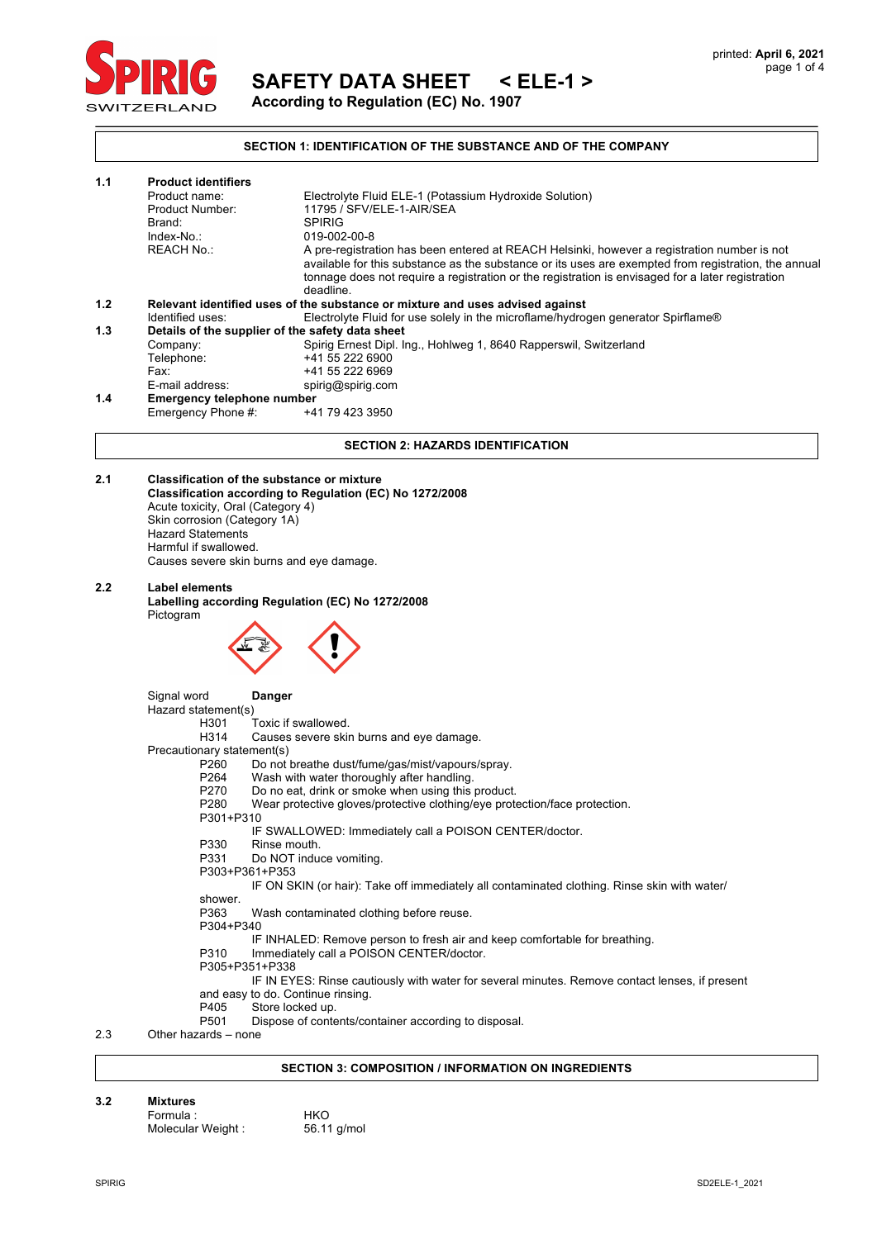

**SAFETY DATA SHEET < ELE-1 >**

**According to Regulation (EC) No. 1907**

## **SECTION 1: IDENTIFICATION OF THE SUBSTANCE AND OF THE COMPANY**

| 1.1 | <b>Product identifiers</b>                                                    |                                                                                                                                                                                                                                                                                                                       |  |  |  |
|-----|-------------------------------------------------------------------------------|-----------------------------------------------------------------------------------------------------------------------------------------------------------------------------------------------------------------------------------------------------------------------------------------------------------------------|--|--|--|
|     | Product name:                                                                 | Electrolyte Fluid ELE-1 (Potassium Hydroxide Solution)                                                                                                                                                                                                                                                                |  |  |  |
|     | Product Number:                                                               | 11795 / SFV/ELE-1-AIR/SEA                                                                                                                                                                                                                                                                                             |  |  |  |
|     | Brand:                                                                        | <b>SPIRIG</b>                                                                                                                                                                                                                                                                                                         |  |  |  |
|     | Index-No.:                                                                    | 019-002-00-8                                                                                                                                                                                                                                                                                                          |  |  |  |
|     | <b>REACH No.:</b>                                                             | A pre-registration has been entered at REACH Helsinki, however a registration number is not<br>available for this substance as the substance or its uses are exempted from registration, the annual<br>tonnage does not require a registration or the registration is envisaged for a later registration<br>deadline. |  |  |  |
| 1.2 | Relevant identified uses of the substance or mixture and uses advised against |                                                                                                                                                                                                                                                                                                                       |  |  |  |
|     | Identified uses:                                                              | Electrolyte Fluid for use solely in the microflame/hydrogen generator Spirflame®                                                                                                                                                                                                                                      |  |  |  |
| 1.3 | Details of the supplier of the safety data sheet                              |                                                                                                                                                                                                                                                                                                                       |  |  |  |
|     | Company:                                                                      | Spirig Ernest Dipl. Ing., Hohlweg 1, 8640 Rapperswil, Switzerland                                                                                                                                                                                                                                                     |  |  |  |
|     | Telephone:                                                                    | +41 55 222 6900                                                                                                                                                                                                                                                                                                       |  |  |  |
|     | Fax:                                                                          | +41 55 222 6969                                                                                                                                                                                                                                                                                                       |  |  |  |
|     | E-mail address:                                                               | spirig@spirig.com                                                                                                                                                                                                                                                                                                     |  |  |  |
| 1.4 | <b>Emergency telephone number</b>                                             |                                                                                                                                                                                                                                                                                                                       |  |  |  |
|     | Emergency Phone #:                                                            | +41 79 423 3950                                                                                                                                                                                                                                                                                                       |  |  |  |

#### **SECTION 2: HAZARDS IDENTIFICATION**

#### **2.1 Classification of the substance or mixture**

**Classification according to Regulation (EC) No 1272/2008** Acute toxicity, Oral (Category 4) Skin corrosion (Category 1A) Hazard Statements Harmful if swallowed. Causes severe skin burns and eye damage.

#### **2.2 Label elements**

**Labelling according Regulation (EC) No 1272/2008**  Pictogram



Signal word **Danger** Hazard statement(s)<br>H301 Toxic if swallowed. H314 Causes severe skin burns and eye damage. Precautionary statement(s) P260 Do not breathe dust/fume/gas/mist/vapours/spray.<br>P264 Wash with water thoroughly after handling. P264 Wash with water thoroughly after handling.<br>P270 Do no eat, drink or smoke when using this Do no eat, drink or smoke when using this product. P280 Wear protective gloves/protective clothing/eye protection/face protection. P301+P310 IF SWALLOWED: Immediately call a POISON CENTER/doctor. P330 Rinse mouth.<br>P331 Do NOT indu Do NOT induce vomiting. P303+P361+P353 IF ON SKIN (or hair): Take off immediately all contaminated clothing. Rinse skin with water/ shower.<br>P363 Wash contaminated clothing before reuse. P304+P340 IF INHALED: Remove person to fresh air and keep comfortable for breathing. P310 Immediately call a POISON CENTER/doctor. P305+P351+P338 IF IN EYES: Rinse cautiously with water for several minutes. Remove contact lenses, if present and easy to do. Continue rinsing.<br>P405 Store locked up. P405 Store locked up.<br>P501 Dispose of conte Dispose of contents/container according to disposal.

2.3 Other hazards – none

#### **SECTION 3: COMPOSITION / INFORMATION ON INGREDIENTS**

#### **3.2 Mixtures**

Formula : HKO Molecular Weight : 56.11 g/mol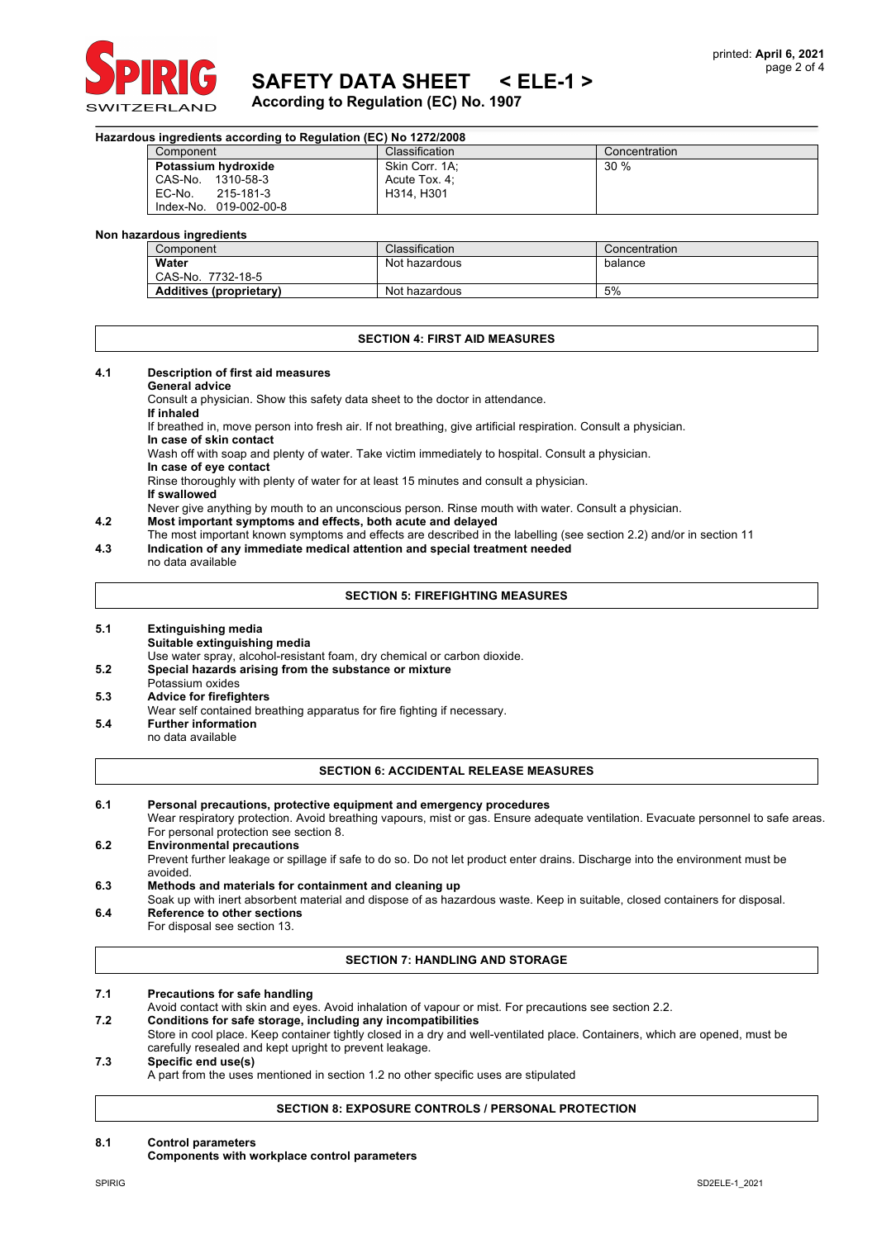

# **SAFETY DATA SHEET < ELE-1 >**

**According to Regulation (EC) No. 1907**

| Hazardous ingredients according to Regulation (EC) No 1272/2008 |                        |                |               |  |
|-----------------------------------------------------------------|------------------------|----------------|---------------|--|
|                                                                 | Component              | Classification | Concentration |  |
|                                                                 | Potassium hydroxide    | Skin Corr. 1A; | 30%           |  |
|                                                                 | CAS-No.<br>1310-58-3   | Acute Tox, 4:  |               |  |
|                                                                 | EC-No.<br>215-181-3    | H314, H301     |               |  |
|                                                                 | Index-No. 019-002-00-8 |                |               |  |

#### **Non hazardous ingredients**

| Component                      | Classification | Concentration |
|--------------------------------|----------------|---------------|
| Water                          | Not hazardous  | balance       |
| 7732-18-5<br>CAS-No.           |                |               |
| <b>Additives (proprietary)</b> | Not hazardous  | 5%            |

#### **SECTION 4: FIRST AID MEASURES**

#### **4.1 Description of first aid measures**

#### **General advice**

Consult a physician. Show this safety data sheet to the doctor in attendance.

**If inhaled**

If breathed in, move person into fresh air. If not breathing, give artificial respiration. Consult a physician.

**In case of skin contact**

Wash off with soap and plenty of water. Take victim immediately to hospital. Consult a physician.

**In case of eye contact**

Rinse thoroughly with plenty of water for at least 15 minutes and consult a physician.

**If swallowed**

Never give anything by mouth to an unconscious person. Rinse mouth with water. Consult a physician.

- **4.2 Most important symptoms and effects, both acute and delayed**
- The most important known symptoms and effects are described in the labelling (see section 2.2) and/or in section 11
- **4.3 Indication of any immediate medical attention and special treatment needed**

# no data available

### **SECTION 5: FIREFIGHTING MEASURES**

**5.1 Extinguishing media Suitable extinguishing media**

Use water spray, alcohol-resistant foam, dry chemical or carbon dioxide.

- **5.2 Special hazards arising from the substance or mixture**
- Potassium oxides
- **5.3 Advice for firefighters**
- Wear self contained breathing apparatus for fire fighting if necessary.
- **5.4 Further information** no data available

#### **SECTION 6: ACCIDENTAL RELEASE MEASURES**

- **6.1 Personal precautions, protective equipment and emergency procedures** Wear respiratory protection. Avoid breathing vapours, mist or gas. Ensure adequate ventilation. Evacuate personnel to safe areas. For personal protection see section 8. **6.2 Environmental precautions**
- Prevent further leakage or spillage if safe to do so. Do not let product enter drains. Discharge into the environment must be avoided.
- **6.3 Methods and materials for containment and cleaning up**
- Soak up with inert absorbent material and dispose of as hazardous waste. Keep in suitable, closed containers for disposal. **6.4 Reference to other sections**

For disposal see section 13.

# **SECTION 7: HANDLING AND STORAGE**

**7.1 Precautions for safe handling**

- Avoid contact with skin and eyes. Avoid inhalation of vapour or mist. For precautions see section 2.2.
- **7.2 Conditions for safe storage, including any incompatibilities**
	- Store in cool place. Keep container tightly closed in a dry and well-ventilated place. Containers, which are opened, must be carefully resealed and kept upright to prevent leakage.

#### **7.3 Specific end use(s)** A part from the uses mentioned in section 1.2 no other specific uses are stipulated

# **SECTION 8: EXPOSURE CONTROLS / PERSONAL PROTECTION**

#### **8.1 Control parameters**

#### **Components with workplace control parameters**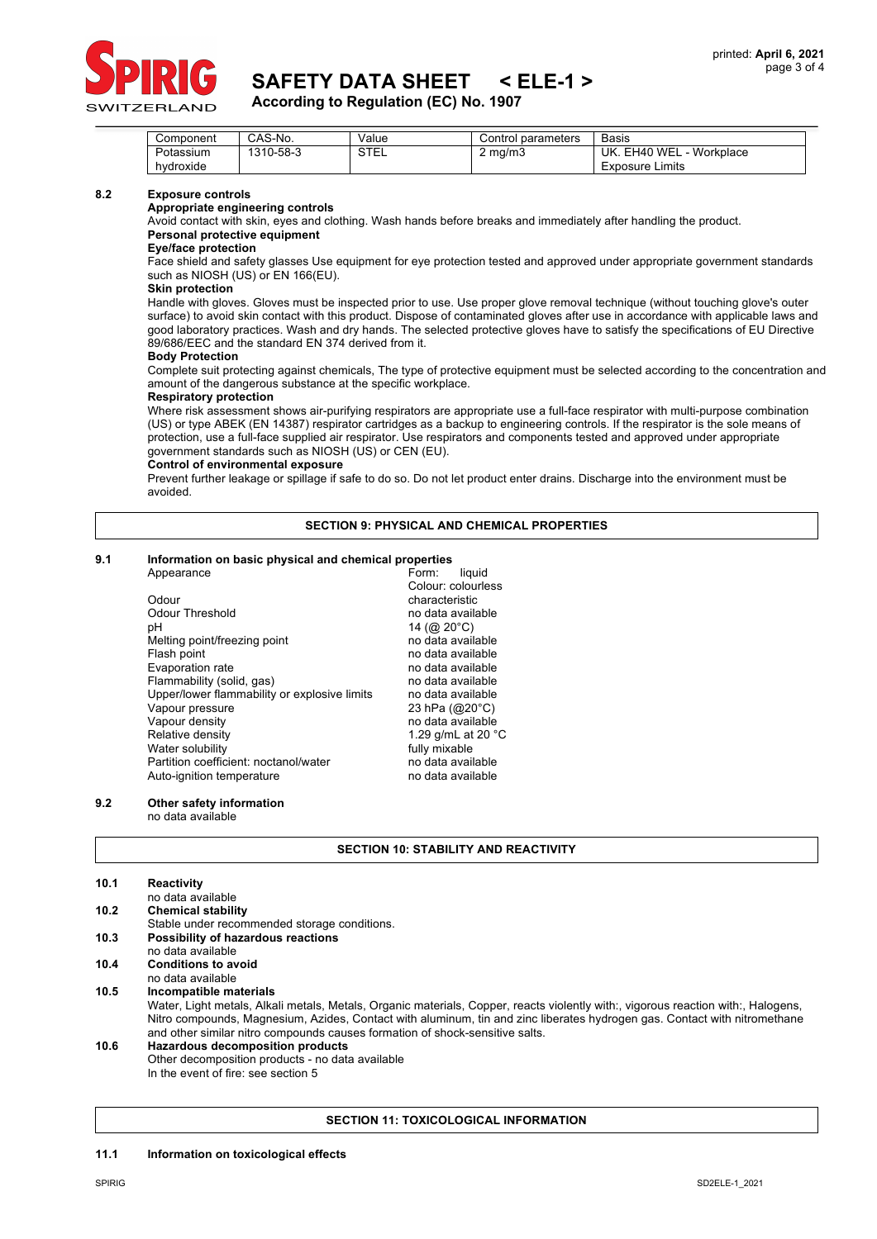

**According to Regulation (EC) No. 1907**

| Component | CAS-No.   | Value       | Control parameters | <b>Basis</b>              |
|-----------|-----------|-------------|--------------------|---------------------------|
| Potassium | 1310-58-3 | <b>STEL</b> | $2 \text{ ma/m}$   | Workplace<br>UK. EH40 WEL |
| hvdroxide |           |             |                    | <b>Exposure Limits</b>    |

#### **8.2 Exposure controls**

**Appropriate engineering controls**

Avoid contact with skin, eyes and clothing. Wash hands before breaks and immediately after handling the product. **Personal protective equipment**

# **Eye/face protection**

Face shield and safety glasses Use equipment for eye protection tested and approved under appropriate government standards such as NIOSH (US) or EN 166(EU).

#### **Skin protection**

Handle with gloves. Gloves must be inspected prior to use. Use proper glove removal technique (without touching glove's outer surface) to avoid skin contact with this product. Dispose of contaminated gloves after use in accordance with applicable laws and good laboratory practices. Wash and dry hands. The selected protective gloves have to satisfy the specifications of EU Directive 89/686/EEC and the standard EN 374 derived from it.

#### **Body Protection**

Complete suit protecting against chemicals, The type of protective equipment must be selected according to the concentration and amount of the dangerous substance at the specific workplace.

#### **Respiratory protection**

Where risk assessment shows air-purifying respirators are appropriate use a full-face respirator with multi-purpose combination (US) or type ABEK (EN 14387) respirator cartridges as a backup to engineering controls. If the respirator is the sole means of protection, use a full-face supplied air respirator. Use respirators and components tested and approved under appropriate government standards such as NIOSH (US) or CEN (EU).

#### **Control of environmental exposure**

Prevent further leakage or spillage if safe to do so. Do not let product enter drains. Discharge into the environment must be avoided.

### **SECTION 9: PHYSICAL AND CHEMICAL PROPERTIES**

#### **9.1 Information on basic physical and chemical properties**

| Appearance                                   | liquid<br>Form:              |
|----------------------------------------------|------------------------------|
|                                              | Colour: colourless           |
| Odour                                        | characteristic               |
| Odour Threshold                              | no data available            |
| рH                                           | 14 (@ 20 $^{\circ}$ C)       |
| Melting point/freezing point                 | no data available            |
| Flash point                                  | no data available            |
| Evaporation rate                             | no data available            |
| Flammability (solid, gas)                    | no data available            |
| Upper/lower flammability or explosive limits | no data available            |
| Vapour pressure                              | 23 hPa $(Q20^{\circ}C)$      |
| Vapour density                               | no data available            |
| Relative density                             | 1.29 g/mL at 20 $^{\circ}$ C |
| Water solubility                             | fully mixable                |
| Partition coefficient: noctanol/water        | no data available            |
| Auto-ignition temperature                    | no data available            |

## **9.2 Other safety information**

no data available

|  |  | <b>SECTION 10: STABILITY AND REACTIVITY</b> |
|--|--|---------------------------------------------|
|  |  |                                             |

| 10.1 | Reactivity                                                                                                                        |
|------|-----------------------------------------------------------------------------------------------------------------------------------|
|      | no data available                                                                                                                 |
| 10.2 | <b>Chemical stability</b>                                                                                                         |
|      | Stable under recommended storage conditions.                                                                                      |
| 10.3 | Possibility of hazardous reactions                                                                                                |
|      | no data available                                                                                                                 |
| 10.4 | <b>Conditions to avoid</b>                                                                                                        |
|      | no data available                                                                                                                 |
| 10.5 | Incompatible materials                                                                                                            |
|      | Water, Light metals, Alkali metals, Metals, Organic materials, Copper, reacts violently with:, vigorous reaction with:, Halogens, |
|      | Nitro compounds, Magnesium, Azides, Contact with aluminum, tin and zinc liberates hydrogen gas. Contact with nitromethane         |
|      | and other similar nitro compounds causes formation of shock-sensitive salts.                                                      |
| 10.6 | <b>Hazardous decomposition products</b>                                                                                           |
|      | Other decomposition products - no data available                                                                                  |
|      | In the event of fire: see section 5                                                                                               |

#### **SECTION 11: TOXICOLOGICAL INFORMATION**

#### **11.1 Information on toxicological effects**